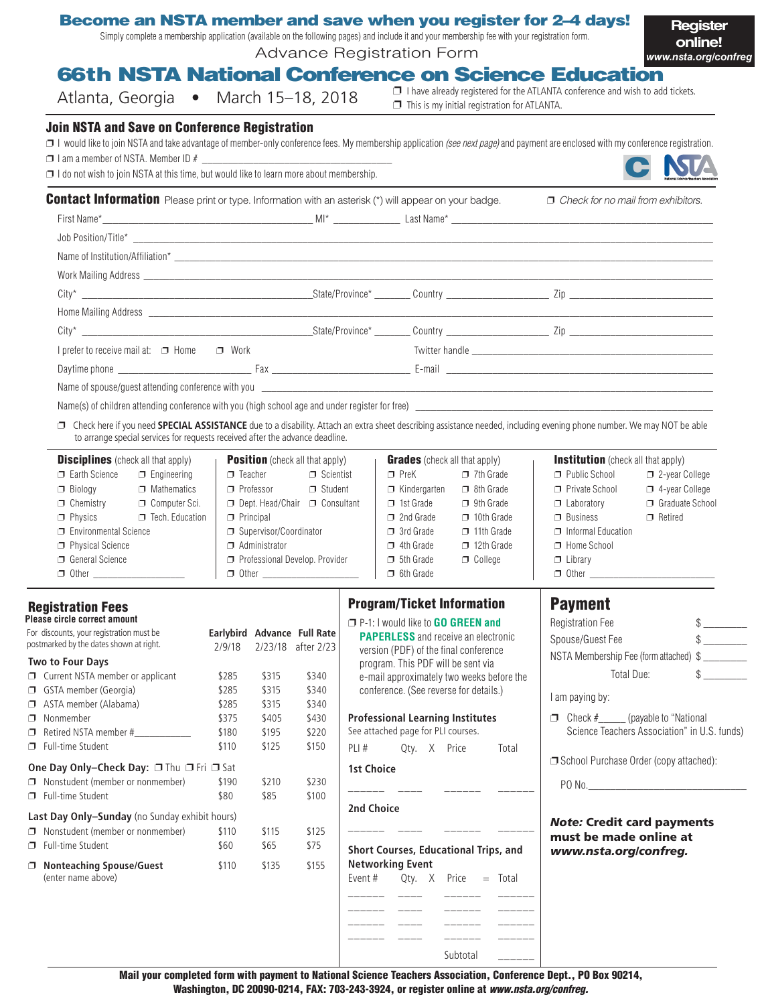|                                                                                                                                                                                                                                                          | <b>Become an NSTA member and save when you register for 2-4 days!</b><br>Simply complete a membership application (available on the following pages) and include it and your membership fee with your registration form.<br>Advance Registration Form |                                                     | Register<br>online!<br>www.nsta.org/confreg                                                                                                                                                    |
|----------------------------------------------------------------------------------------------------------------------------------------------------------------------------------------------------------------------------------------------------------|-------------------------------------------------------------------------------------------------------------------------------------------------------------------------------------------------------------------------------------------------------|-----------------------------------------------------|------------------------------------------------------------------------------------------------------------------------------------------------------------------------------------------------|
| Atlanta, Georgia • March 15-18, 2018                                                                                                                                                                                                                     | <b>66th NSTA National Conference on Science Education</b>                                                                                                                                                                                             | $\Box$ This is my initial registration for ATLANTA. | $\Box$ I have already registered for the ATLANTA conference and wish to add tickets.                                                                                                           |
| <b>Join NSTA and Save on Conference Registration</b><br>$\Box$ I am a member of NSTA. Member ID # $\_\_\_\_\_\_\_\_\_\_\_\_\_\_\_\_\_\_\_\_\_\_\_\_\_$<br>$\Box$ I do not wish to join NSTA at this time, but would like to learn more about membership. |                                                                                                                                                                                                                                                       |                                                     | $\Box$ I would like to join NSTA and take advantage of member-only conference fees. My membership application <i>(see next page)</i> and payment are enclosed with my conference registration. |
| <b>Contact Information</b> Please print or type. Information with an asterisk (*) will appear on your badge.                                                                                                                                             |                                                                                                                                                                                                                                                       |                                                     | $\Box$ Check for no mail from exhibitors.                                                                                                                                                      |
| Job Position/Title*                                                                                                                                                                                                                                      |                                                                                                                                                                                                                                                       |                                                     |                                                                                                                                                                                                |

| I prefer to receive mail at: □ Home □ Work                                       |  | Twitter handle experience and the state of the state of the state of the state of the state of the state of the |
|----------------------------------------------------------------------------------|--|-----------------------------------------------------------------------------------------------------------------|
|                                                                                  |  |                                                                                                                 |
| Name of spouse/quest attending conference with you _____________________________ |  |                                                                                                                 |
|                                                                                  |  |                                                                                                                 |
|                                                                                  |  |                                                                                                                 |

□ Check here if you need SPECIAL ASSISTANCE due to a disability. Attach an extra sheet describing assistance needed, including evening phone number. We may NOT be able to arrange special services for requests received after the advance deadline.

| <b>Disciplines</b> (check all that apply) |                        | <b>Position</b> (check all that apply)<br><b>Grades</b> (check all that apply) |                   |                     | <b>Institution</b> (check all that apply) |                    |                       |
|-------------------------------------------|------------------------|--------------------------------------------------------------------------------|-------------------|---------------------|-------------------------------------------|--------------------|-----------------------|
| Earth Science                             | $\Box$ Engineering     | $\Box$ Teacher                                                                 | $\Box$ Scientist  | $\sqcap$ PreK       | $\Box$ 7th Grade                          | Public School      | $\Box$ 2-year College |
| $\Box$ Biology                            | $\Box$ Mathematics     | $\Box$ Professor                                                               | $\Box$ Student    | $\Box$ Kindergarten | $\Box$ 8th Grade                          | Private School     | $\Box$ 4-year College |
| $\Box$ Chemistry                          | $\Box$ Computer Sci.   | Dept. Head/Chair                                                               | $\Box$ Consultant | $\Box$ 1st Grade    | $\Box$ 9th Grade                          | $\Box$ Laboratory  | Graduate School       |
| $\Box$ Physics                            | $\Box$ Tech. Education | $\Box$ Principal                                                               |                   | $\Box$ 2nd Grade    | $\Box$ 10th Grade                         | $\Box$ Business    | $\Box$ Retired        |
| Environmental Science                     |                        | Supervisor/Coordinator                                                         |                   | $\Box$ 3rd Grade    | $\Box$ 11th Grade                         | Informal Education |                       |
| $\Box$ Physical Science                   |                        | $\Box$ Administrator                                                           |                   | $\Box$ 4th Grade    | $\Box$ 12th Grade                         | $\Box$ Home School |                       |
| $\Box$ General Science                    |                        | Professional Develop. Provider                                                 |                   | $\Box$ 5th Grade    | $\Box$ College                            | $\Box$ Library     |                       |
| $\Box$ Other                              |                        | $\Box$ Other                                                                   |                   | $\Box$ 6th Grade    |                                           | $\Box$ Other       |                       |

#### Registration Fees **Please circle correct amount**

Name of Institution/Affiliation\*

| For discounts, your registration must be<br>postmarked by the dates shown at right.                                  |                                                       | Earlybird Advance Full Rate<br>2/9/18 | 2/23/18 | after 2/23 |
|----------------------------------------------------------------------------------------------------------------------|-------------------------------------------------------|---------------------------------------|---------|------------|
|                                                                                                                      | <b>Two to Four Days</b>                               |                                       |         |            |
|                                                                                                                      | Current NSTA member or applicant                      | \$285                                 | \$315   | \$340      |
| Π                                                                                                                    | GSTA member (Georgia)                                 | \$285                                 | \$315   | \$340      |
| ⊓                                                                                                                    | ASTA member (Alabama)                                 | \$285                                 | \$315   | \$340      |
| ⊓                                                                                                                    | Nonmember                                             | \$375                                 | \$405   | \$430      |
| ⊓                                                                                                                    | Retired NSTA member #____________                     | \$180                                 | \$195   | \$220      |
| □                                                                                                                    | <b>Full-time Student</b>                              | \$110                                 | \$125   | \$150      |
| <b>One Day Only–Check Day: □</b> Thu □ Fri □ Sat<br>Nonstudent (member or nonmember)<br>\$190<br>\$210<br>\$230<br>⊓ |                                                       |                                       |         |            |
|                                                                                                                      | <b>Full-time Student</b>                              | \$80                                  | \$85    | \$100      |
|                                                                                                                      | <b>Last Day Only-Sunday</b> (no Sunday exhibit hours) |                                       |         |            |
| ⊓                                                                                                                    | Nonstudent (member or nonmember)                      | \$110                                 | \$115   | \$125      |
| ⊓                                                                                                                    | <b>Full-time Student</b>                              | \$60                                  | \$65    | \$75       |
| ⊓                                                                                                                    | <b>Nonteaching Spouse/Guest</b><br>(enter name above) | \$110                                 | \$135   | \$155      |
|                                                                                                                      |                                                       |                                       |         |            |
|                                                                                                                      |                                                       |                                       |         |            |
|                                                                                                                      |                                                       |                                       |         |            |

### Program/Ticket Information

| $\Box$ P-1: I would like to <b>GO GREEN and</b>                                 | $\mathbb{S}$<br><b>Registration Fee</b>                                                 |  |  |  |
|---------------------------------------------------------------------------------|-----------------------------------------------------------------------------------------|--|--|--|
| <b>PAPERLESS</b> and receive an electronic                                      | Spouse/Guest Fee<br>$\frac{1}{2}$                                                       |  |  |  |
| version (PDF) of the final conference                                           | NSTA Membership Fee (form attached) \$                                                  |  |  |  |
| program. This PDF will be sent via<br>e-mail approximately two weeks before the | $\frac{1}{2}$<br>Total Due:                                                             |  |  |  |
| conference. (See reverse for details.)                                          | I am paying by:                                                                         |  |  |  |
| <b>Professional Learning Institutes</b><br>See attached page for PLI courses.   | $\Box$ Check $\#$ (payable to "National<br>Science Teachers Association" in U.S. funds) |  |  |  |
| PLI# Qty. X Price<br>Total                                                      |                                                                                         |  |  |  |
| <b>1st Choice</b>                                                               | School Purchase Order (copy attached):                                                  |  |  |  |
|                                                                                 | PO No.                                                                                  |  |  |  |
| 2nd Choice                                                                      |                                                                                         |  |  |  |
| Short Courses, Educational Trips, and<br>Networking Event                       | <b>Note: Credit card payments</b><br>must be made online at<br>www.nsta.org/confreg.    |  |  |  |
| Event # $Qty. X$ Price $=$ Total                                                |                                                                                         |  |  |  |
|                                                                                 |                                                                                         |  |  |  |
| $-$ - $-$ - $-$                                                                 |                                                                                         |  |  |  |
| -------                                                                         |                                                                                         |  |  |  |
|                                                                                 |                                                                                         |  |  |  |

Subtotal \_\_\_\_\_\_

Payment

Mail your completed form with payment to National Science Teachers Association, Conference Dept., PO Box 90214, Washington, DC 20090-0214, FAX: 703-243-3924, or register online at *www.nsta.org/confreg.*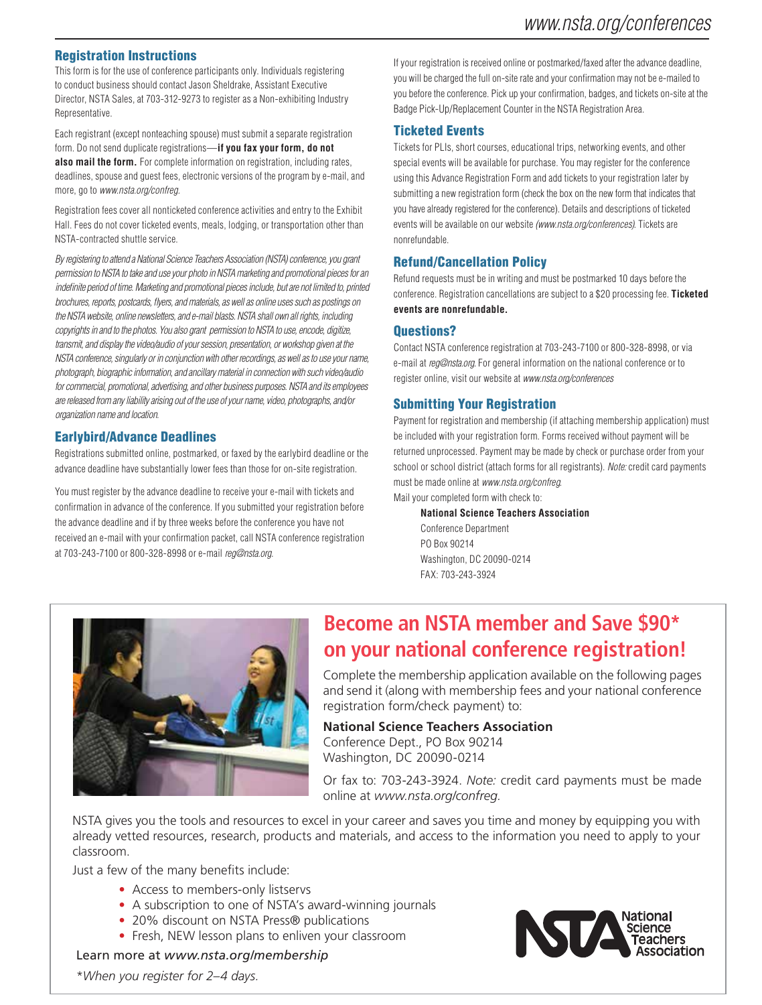#### Registration Instructions

This form is for the use of conference participants only. Individuals registering to conduct business should contact Jason Sheldrake, Assistant Executive Director, NSTA Sales, at 703-312-9273 to register as a Non-exhibiting Industry Representative.

Each registrant (except nonteaching spouse) must submit a separate registration form. Do not send duplicate registrations—**if you fax your form, do not also mail the form.** For complete information on registration, including rates, deadlines, spouse and guest fees, electronic versions of the program by e-mail, and more, go to *www.nsta.org/confreg.*

Registration fees cover all nonticketed conference activities and entry to the Exhibit Hall. Fees do not cover ticketed events, meals, lodging, or transportation other than NSTA-contracted shuttle service.

*By registering to attend a National Science Teachers Association (NSTA) conference, you grant permission to NSTA to take and use your photo in NSTA marketing and promotional pieces for an indefinite period of time. Marketing and promotional pieces include, but are not limited to, printed brochures, reports, postcards, flyers, and materials, as well as online uses such as postings on the NSTA website, online newsletters, and e-mail blasts. NSTA shall own all rights, including copyrights in and to the photos. You also grant permission to NSTA to use, encode, digitize, transmit, and display the video/audio of your session, presentation, or workshop given at the NSTA conference, singularly or in conjunction with other recordings, as well as to use your name, photograph, biographic information, and ancillary material in connection with such video/audio for commercial, promotional, advertising, and other business purposes. NSTA and its employees are released from any liability arising out of the use of your name, video, photographs, and/or organization name and location.* 

#### Earlybird/Advance Deadlines

Registrations submitted online, postmarked, or faxed by the earlybird deadline or the advance deadline have substantially lower fees than those for on-site registration.

You must register by the advance deadline to receive your e-mail with tickets and confirmation in advance of the conference. If you submitted your registration before the advance deadline and if by three weeks before the conference you have not received an e-mail with your confirmation packet, call NSTA conference registration at 703-243-7100 or 800-328-8998 or e-mail *reg@nsta.org.*

If your registration is received online or postmarked/faxed after the advance deadline, you will be charged the full on-site rate and your confirmation may not be e-mailed to you before the conference. Pick up your confirmation, badges, and tickets on-site at the Badge Pick-Up/Replacement Counter in the NSTA Registration Area.

#### Ticketed Events

Tickets for PLIs, short courses, educational trips, networking events, and other special events will be available for purchase. You may register for the conference using this Advance Registration Form and add tickets to your registration later by submitting a new registration form (check the box on the new form that indicates that you have already registered for the conference). Details and descriptions of ticketed events will be available on our website *(www.nsta.org/conferences).* Tickets are nonrefundable.

#### Refund/Cancellation Policy

Refund requests must be in writing and must be postmarked 10 days before the conference. Registration cancellations are subject to a \$20 processing fee. **Ticketed events are nonrefundable.**

#### Questions?

Contact NSTA conference registration at 703-243-7100 or 800-328-8998, or via e-mail at *reg@nsta.org.* For general information on the national conference or to register online, visit our website at *www.nsta.org/conferences* 

#### Submitting Your Registration

Payment for registration and membership (if attaching membership application) must be included with your registration form. Forms received without payment will be returned unprocessed. Payment may be made by check or purchase order from your school or school district (attach forms for all registrants). *Note:* credit card payments must be made online at *www.nsta.org/confreg*.

Mail your completed form with check to:

#### **National Science Teachers Association**

 Conference Department PO Box 90214 Washington, DC 20090-0214 FAX: 703-243-3924



# **Become an NSTA member and Save \$90\* on your national conference registration!**

Complete the membership application available on the following pages and send it (along with membership fees and your national conference registration form/check payment) to:

**National Science Teachers Association** Conference Dept., PO Box 90214 Washington, DC 20090-0214

Or fax to: 703-243-3924. *Note:* credit card payments must be made online at *www.nsta.org/confreg.*

NSTA gives you the tools and resources to excel in your career and saves you time and money by equipping you with already vetted resources, research, products and materials, and access to the information you need to apply to your classroom.

Just a few of the many benefits include:

- Access to members-only listservs
- A subscription to one of NSTA's award-winning journals
- 20% discount on NSTA Press® publications
- Fresh, NEW lesson plans to enliven your classroom

Learn more at *www.nsta.org/membership*



\**When you register for 2–4 days.*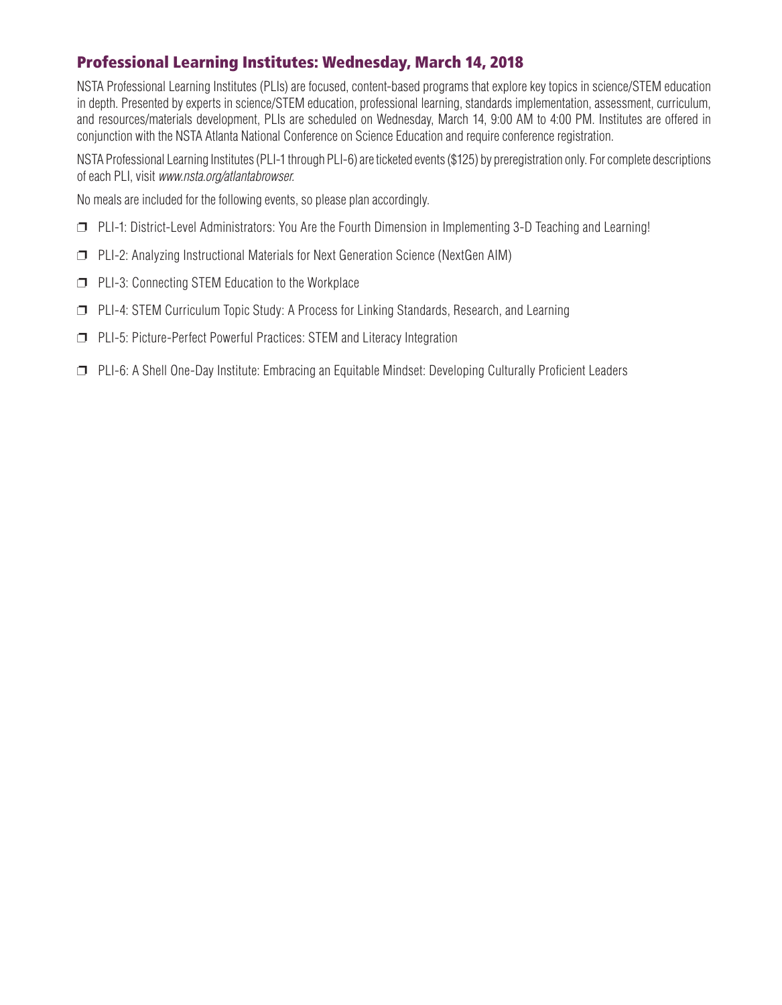# Professional Learning Institutes: Wednesday, March 14, 2018

NSTA Professional Learning Institutes (PLIs) are focused, content-based programs that explore key topics in science/STEM education in depth. Presented by experts in science/STEM education, professional learning, standards implementation, assessment, curriculum, and resources/materials development, PLIs are scheduled on Wednesday, March 14, 9:00 AM to 4:00 PM. Institutes are offered in conjunction with the NSTA Atlanta National Conference on Science Education and require conference registration.

NSTA Professional Learning Institutes (PLI-1 through PLI-6) are ticketed events (\$125) by preregistration only. For complete descriptions of each PLI, visit *www.nsta.org/atlantabrowser.*

No meals are included for the following events, so please plan accordingly.

- ❐ PLI-1: District-Level Administrators: You Are the Fourth Dimension in Implementing 3-D Teaching and Learning!
- ❐ PLI-2: Analyzing Instructional Materials for Next Generation Science (NextGen AIM)
- ❐ PLI-3: Connecting STEM Education to the Workplace
- ❐ PLI-4: STEM Curriculum Topic Study: A Process for Linking Standards, Research, and Learning
- ❐ PLI-5: Picture-Perfect Powerful Practices: STEM and Literacy Integration
- ❐ PLI-6: A Shell One-Day Institute: Embracing an Equitable Mindset: Developing Culturally Proficient Leaders